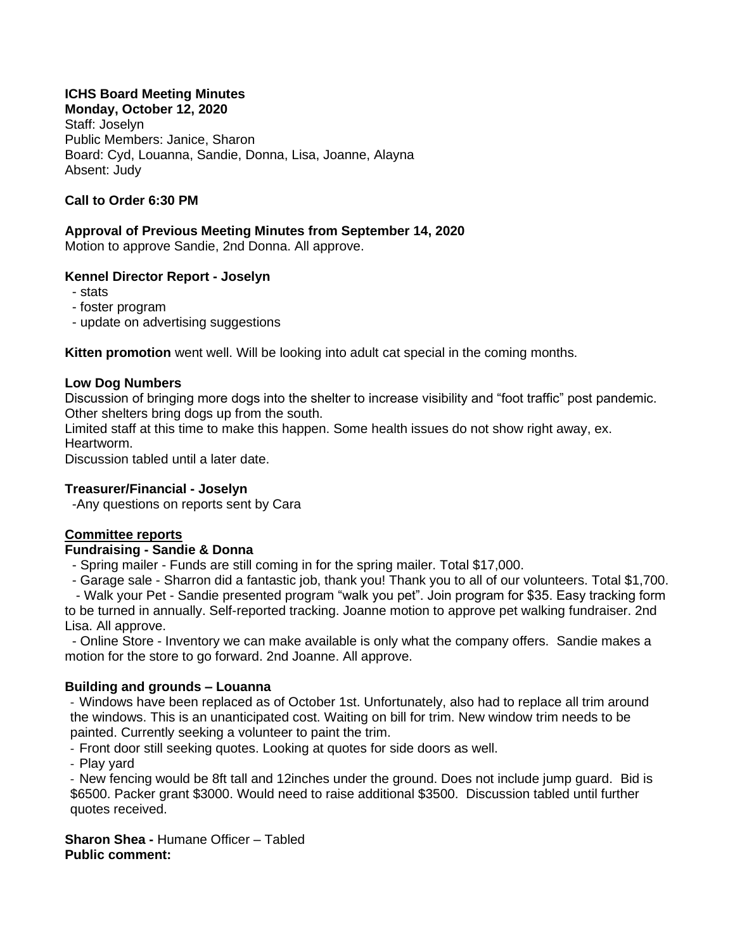# **ICHS Board Meeting Minutes**

**Monday, October 12, 2020** Staff: Joselyn Public Members: Janice, Sharon Board: Cyd, Louanna, Sandie, Donna, Lisa, Joanne, Alayna Absent: Judy

## **Call to Order 6:30 PM**

## **Approval of Previous Meeting Minutes from September 14, 2020**

Motion to approve Sandie, 2nd Donna. All approve.

### **Kennel Director Report - Joselyn**

- stats
- foster program
- update on advertising suggestions

**Kitten promotion** went well. Will be looking into adult cat special in the coming months.

#### **Low Dog Numbers**

Discussion of bringing more dogs into the shelter to increase visibility and "foot traffic" post pandemic. Other shelters bring dogs up from the south.

Limited staff at this time to make this happen. Some health issues do not show right away, ex. Heartworm.

Discussion tabled until a later date.

### **Treasurer/Financial - Joselyn**

-Any questions on reports sent by Cara

## **Committee reports**

### **Fundraising - Sandie & Donna**

- Spring mailer - Funds are still coming in for the spring mailer. Total \$17,000.

- Garage sale - Sharron did a fantastic job, thank you! Thank you to all of our volunteers. Total \$1,700.

 - Walk your Pet - Sandie presented program "walk you pet". Join program for \$35. Easy tracking form to be turned in annually. Self-reported tracking. Joanne motion to approve pet walking fundraiser. 2nd Lisa. All approve.

 - Online Store - Inventory we can make available is only what the company offers. Sandie makes a motion for the store to go forward. 2nd Joanne. All approve.

### **Building and grounds – Louanna**

- Windows have been replaced as of October 1st. Unfortunately, also had to replace all trim around the windows. This is an unanticipated cost. Waiting on bill for trim. New window trim needs to be painted. Currently seeking a volunteer to paint the trim.

- Front door still seeking quotes. Looking at quotes for side doors as well.

- Play yard

- New fencing would be 8ft tall and 12inches under the ground. Does not include jump guard. Bid is \$6500. Packer grant \$3000. Would need to raise additional \$3500. Discussion tabled until further quotes received.

**Sharon Shea -** Humane Officer – Tabled **Public comment:**